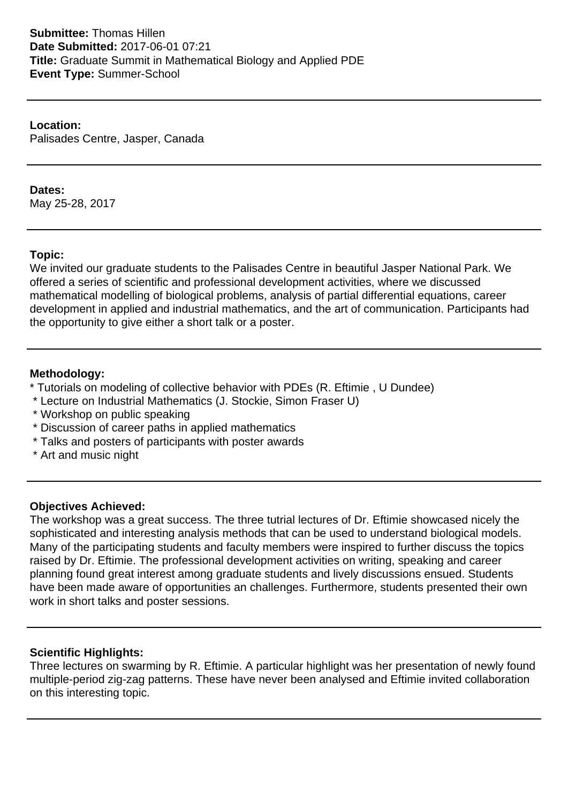**Location:** Palisades Centre, Jasper, Canada

### **Dates:**

May 25-28, 2017

### **Topic:**

We invited our graduate students to the Palisades Centre in beautiful Jasper National Park. We offered a series of scientific and professional development activities, where we discussed mathematical modelling of biological problems, analysis of partial differential equations, career development in applied and industrial mathematics, and the art of communication. Participants had the opportunity to give either a short talk or a poster.

### **Methodology:**

- \* Tutorials on modeling of collective behavior with PDEs (R. Eftimie , U Dundee)
- \* Lecture on Industrial Mathematics (J. Stockie, Simon Fraser U)
- \* Workshop on public speaking
- \* Discussion of career paths in applied mathematics
- \* Talks and posters of participants with poster awards
- \* Art and music night

### **Objectives Achieved:**

The workshop was a great success. The three tutrial lectures of Dr. Eftimie showcased nicely the sophisticated and interesting analysis methods that can be used to understand biological models. Many of the participating students and faculty members were inspired to further discuss the topics raised by Dr. Eftimie. The professional development activities on writing, speaking and career planning found great interest among graduate students and lively discussions ensued. Students have been made aware of opportunities an challenges. Furthermore, students presented their own work in short talks and poster sessions.

### **Scientific Highlights:**

Three lectures on swarming by R. Eftimie. A particular highlight was her presentation of newly found multiple-period zig-zag patterns. These have never been analysed and Eftimie invited collaboration on this interesting topic.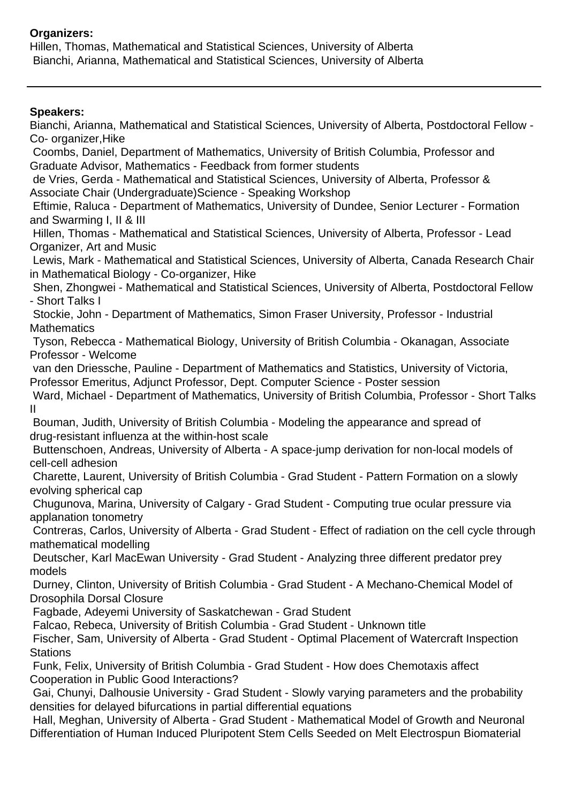# **Organizers:**

Hillen, Thomas, Mathematical and Statistical Sciences, University of Alberta Bianchi, Arianna, Mathematical and Statistical Sciences, University of Alberta

## **Speakers:**

Bianchi, Arianna, Mathematical and Statistical Sciences, University of Alberta, Postdoctoral Fellow - Co- organizer,Hike Coombs, Daniel, Department of Mathematics, University of British Columbia, Professor and Graduate Advisor, Mathematics - Feedback from former students de Vries, Gerda - Mathematical and Statistical Sciences, University of Alberta, Professor & Associate Chair (Undergraduate)Science - Speaking Workshop Eftimie, Raluca - Department of Mathematics, University of Dundee, Senior Lecturer - Formation and Swarming I, II & III Hillen, Thomas - Mathematical and Statistical Sciences, University of Alberta, Professor - Lead Organizer, Art and Music Lewis, Mark - Mathematical and Statistical Sciences, University of Alberta, Canada Research Chair in Mathematical Biology - Co-organizer, Hike Shen, Zhongwei - Mathematical and Statistical Sciences, University of Alberta, Postdoctoral Fellow - Short Talks I Stockie, John - Department of Mathematics, Simon Fraser University, Professor - Industrial **Mathematics**  Tyson, Rebecca - Mathematical Biology, University of British Columbia - Okanagan, Associate Professor - Welcome van den Driessche, Pauline - Department of Mathematics and Statistics, University of Victoria, Professor Emeritus, Adjunct Professor, Dept. Computer Science - Poster session Ward, Michael - Department of Mathematics, University of British Columbia, Professor - Short Talks II Bouman, Judith, University of British Columbia - Modeling the appearance and spread of drug-resistant influenza at the within-host scale Buttenschoen, Andreas, University of Alberta - A space-jump derivation for non-local models of cell-cell adhesion Charette, Laurent, University of British Columbia - Grad Student - Pattern Formation on a slowly evolving spherical cap Chugunova, Marina, University of Calgary - Grad Student - Computing true ocular pressure via applanation tonometry Contreras, Carlos, University of Alberta - Grad Student - Effect of radiation on the cell cycle through mathematical modelling Deutscher, Karl MacEwan University - Grad Student - Analyzing three different predator prey models Durney, Clinton, University of British Columbia - Grad Student - A Mechano-Chemical Model of Drosophila Dorsal Closure Fagbade, Adeyemi University of Saskatchewan - Grad Student Falcao, Rebeca, University of British Columbia - Grad Student - Unknown title Fischer, Sam, University of Alberta - Grad Student - Optimal Placement of Watercraft Inspection **Stations**  Funk, Felix, University of British Columbia - Grad Student - How does Chemotaxis affect Cooperation in Public Good Interactions? Gai, Chunyi, Dalhousie University - Grad Student - Slowly varying parameters and the probability densities for delayed bifurcations in partial differential equations Hall, Meghan, University of Alberta - Grad Student - Mathematical Model of Growth and Neuronal Differentiation of Human Induced Pluripotent Stem Cells Seeded on Melt Electrospun Biomaterial